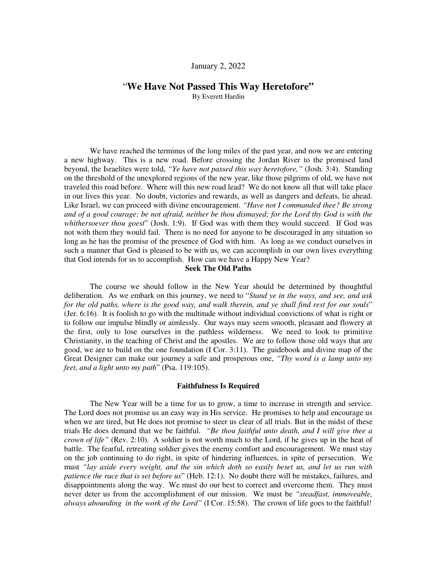# January 2, 2022

# "**We Have Not Passed This Way Heretofore"**

By Everett Hardin

We have reached the terminus of the long miles of the past year, and now we are entering a new highway. This is a new road. Before crossing the Jordan River to the promised land beyond, the Israelites were told, *"Ye have not passed this way heretofore,"* (Josh. 3:4). Standing on the threshold of the unexplored regions of the new year, like those pilgrims of old, we have not traveled this road before. Where will this new road lead? We do not know all that will take place in our lives this year. No doubt, victories and rewards, as well as dangers and defeats, lie ahead. Like Israel, we can proceed with divine encouragement. *"Have not I commanded thee? Be strong and of a good courage: be not afraid, neither be thou dismayed; for the Lord thy God is with the whithersoever thou goest*" (Josh. 1:9). If God was with them they would succeed. If God was not with them they would fail. There is no need for anyone to be discouraged in any situation so long as he has the promise of the presence of God with him. As long as we conduct ourselves in such a manner that God is pleased to be with us, we can accomplish in our own lives everything that God intends for us to accomplish. How can we have a Happy New Year?

# **Seek The Old Paths**

The course we should follow in the New Year should be determined by thoughtful deliberation. As we embark on this journey, we need to "*Stand ye in the ways, and see, and ask for the old paths, where is the good way, and walk therein, and ye shall find rest for our souls*" (Jer. 6:16). It is foolish to go with the multitude without individual convictions of what is right or to follow our impulse blindly or aimlessly. Our ways may seem smooth, pleasant and flowery at the first, only to lose ourselves in the pathless wilderness. We need to look to primitive Christianity, in the teaching of Christ and the apostles. We are to follow those old ways that are good, we are to build on the one foundation (I Cor. 3:11). The guidebook and divine map of the Great Designer can make our journey a safe and prosperous one, *"Thy word is a lamp unto my feet, and a light unto my path*" (Psa. 119:105).

#### **Faithfulness Is Required**

The New Year will be a time for us to grow, a time to increase in strength and service. The Lord does not promise us an easy way in His service. He promises to help and encourage us when we are tired, but He does not promise to steer us clear of all trials. But in the midst of these trials He does demand that we be faithful. *"Be thou faithful unto death, and I will give thee a crown of life"* (Rev. 2:10). A soldier is not worth much to the Lord, if he gives up in the heat of battle. The fearful, retreating soldier gives the enemy comfort and encouragement. We must stay on the job continuing to do right, in spite of hindering influences, in spite of persecution. We must *"lay aside every weight, and the sin which doth so easily beset us, and let us run with patience the race that is set before us*" (Heb. 12:1). No doubt there will be mistakes, failures, and disappointments along the way. We must do our best to correct and overcome them. They must never deter us from the accomplishment of our mission. We must be *"steadfast, immoveable, always abounding in the work of the Lord"* (I Cor. 15:58). The crown of life goes to the faithful!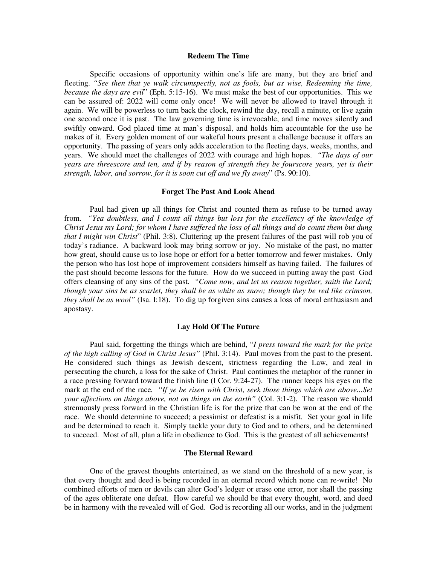#### **Redeem The Time**

Specific occasions of opportunity within one's life are many, but they are brief and fleeting. *"See then that ye walk circumspectly, not as fools, but as wise, Redeeming the time, because the days are evil*" (Eph. 5:15-16). We must make the best of our opportunities. This we can be assured of: 2022 will come only once! We will never be allowed to travel through it again. We will be powerless to turn back the clock, rewind the day, recall a minute, or live again one second once it is past. The law governing time is irrevocable, and time moves silently and swiftly onward. God placed time at man's disposal, and holds him accountable for the use he makes of it. Every golden moment of our wakeful hours present a challenge because it offers an opportunity. The passing of years only adds acceleration to the fleeting days, weeks, months, and years. We should meet the challenges of 2022 with courage and high hopes. *"The days of our years are threescore and ten, and if by reason of strength they be fourscore years, yet is their strength, labor, and sorrow, for it is soon cut off and we fly away*" (Ps. 90:10).

## **Forget The Past And Look Ahead**

Paul had given up all things for Christ and counted them as refuse to be turned away from. *"Yea doubtless, and I count all things but loss for the excellency of the knowledge of Christ Jesus my Lord; for whom I have suffered the loss of all things and do count them but dung that I might win Christ*" (Phil. 3:8). Cluttering up the present failures of the past will rob you of today's radiance. A backward look may bring sorrow or joy. No mistake of the past, no matter how great, should cause us to lose hope or effort for a better tomorrow and fewer mistakes. Only the person who has lost hope of improvement considers himself as having failed. The failures of the past should become lessons for the future. How do we succeed in putting away the past God offers cleansing of any sins of the past. *"Come now, and let us reason together, saith the Lord; though your sins be as scarlet, they shall be as white as snow; though they be red like crimson, they shall be as wool"* (Isa. I:18). To dig up forgiven sins causes a loss of moral enthusiasm and apostasy.

### **Lay Hold Of The Future**

Paul said, forgetting the things which are behind, "*I press toward the mark for the prize of the high calling of God in Christ Jesus"* (Phil. 3:14). Paul moves from the past to the present. He considered such things as Jewish descent, strictness regarding the Law, and zeal in persecuting the church, a loss for the sake of Christ. Paul continues the metaphor of the runner in a race pressing forward toward the finish line (I Cor. 9:24-27). The runner keeps his eyes on the mark at the end of the race*. "If ye be risen with Christ, seek those things which are above...Set your affections on things above, not on things on the earth"* (Col. 3:1-2). The reason we should strenuously press forward in the Christian life is for the prize that can be won at the end of the race. We should determine to succeed; a pessimist or defeatist is a misfit. Set your goal in life and be determined to reach it. Simply tackle your duty to God and to others, and be determined to succeed. Most of all, plan a life in obedience to God. This is the greatest of all achievements!

## **The Eternal Reward**

One of the gravest thoughts entertained, as we stand on the threshold of a new year, is that every thought and deed is being recorded in an eternal record which none can re-write! No combined efforts of men or devils can alter God's ledger or erase one error, nor shall the passing of the ages obliterate one defeat. How careful we should be that every thought, word, and deed be in harmony with the revealed will of God. God is recording all our works, and in the judgment